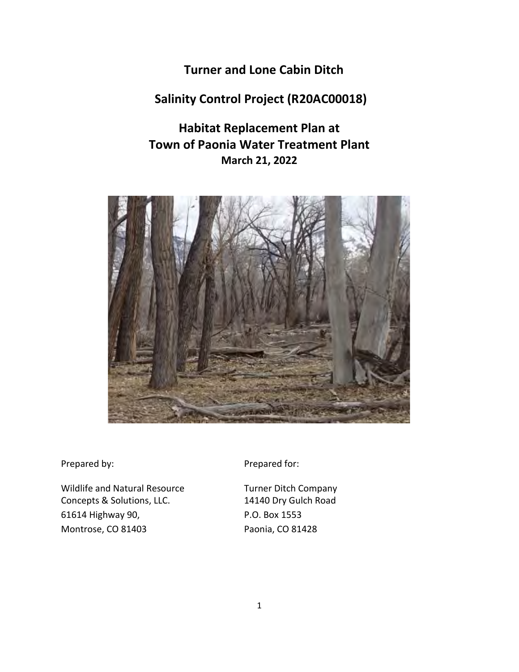**Turner and Lone Cabin Ditch** 

# **Salinity Control Project (R20AC00018)**

# **Habitat Replacement Plan at Town of Paonia Water Treatment Plant March 21, 2022**



Wildlife and Natural Resource Turner Ditch Company Concepts & Solutions, LLC. 14140 Dry Gulch Road 61614 Highway 90, P.O. Box 1553 Montrose, CO 81403 Paonia, CO 81428

Prepared by: Prepared for: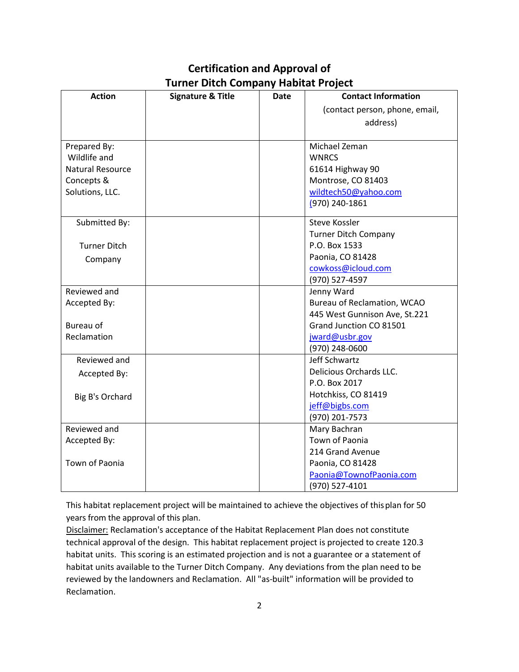### **Certification and Approval of Turner Ditch Company Habitat Project**

| <b>Action</b>           | <b>Signature &amp; Title</b> | Date | <b>Contact Information</b>     |
|-------------------------|------------------------------|------|--------------------------------|
|                         |                              |      | (contact person, phone, email, |
|                         |                              |      | address)                       |
|                         |                              |      |                                |
| Prepared By:            |                              |      | Michael Zeman                  |
| Wildlife and            |                              |      | <b>WNRCS</b>                   |
| <b>Natural Resource</b> |                              |      | 61614 Highway 90               |
| Concepts &              |                              |      | Montrose, CO 81403             |
| Solutions, LLC.         |                              |      | wildtech50@yahoo.com           |
|                         |                              |      | (970) 240-1861                 |
| Submitted By:           |                              |      | <b>Steve Kossler</b>           |
|                         |                              |      | <b>Turner Ditch Company</b>    |
| <b>Turner Ditch</b>     |                              |      | P.O. Box 1533                  |
| Company                 |                              |      | Paonia, CO 81428               |
|                         |                              |      | cowkoss@icloud.com             |
|                         |                              |      | (970) 527-4597                 |
| Reviewed and            |                              |      | Jenny Ward                     |
| Accepted By:            |                              |      | Bureau of Reclamation, WCAO    |
|                         |                              |      | 445 West Gunnison Ave, St.221  |
| <b>Bureau of</b>        |                              |      | Grand Junction CO 81501        |
| Reclamation             |                              |      | jward@usbr.gov                 |
|                         |                              |      | (970) 248-0600                 |
| Reviewed and            |                              |      | Jeff Schwartz                  |
| Accepted By:            |                              |      | Delicious Orchards LLC.        |
|                         |                              |      | P.O. Box 2017                  |
| Big B's Orchard         |                              |      | Hotchkiss, CO 81419            |
|                         |                              |      | jeff@bigbs.com                 |
|                         |                              |      | (970) 201-7573                 |
| Reviewed and            |                              |      | Mary Bachran                   |
| Accepted By:            |                              |      | Town of Paonia                 |
|                         |                              |      | 214 Grand Avenue               |
| Town of Paonia          |                              |      | Paonia, CO 81428               |
|                         |                              |      | Paonia@TownofPaonia.com        |
|                         |                              |      | (970) 527-4101                 |

This habitat replacement project will be maintained to achieve the objectives of thisplan for 50 years from the approval of this plan.

Disclaimer: Reclamation's acceptance of the Habitat Replacement Plan does not constitute technical approval of the design. This habitat replacement project is projected to create 120.3 habitat units. This scoring is an estimated projection and is not a guarantee or a statement of habitat units available to the Turner Ditch Company. Any deviations from the plan need to be reviewed by the landowners and Reclamation. All "as-built" information will be provided to Reclamation.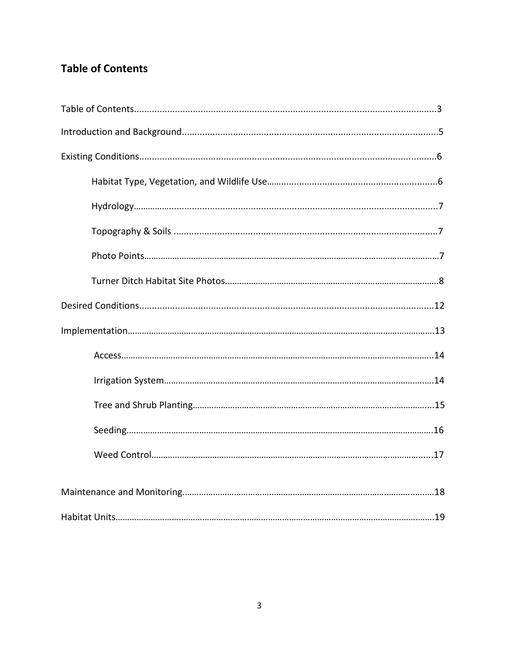# **Table of Contents**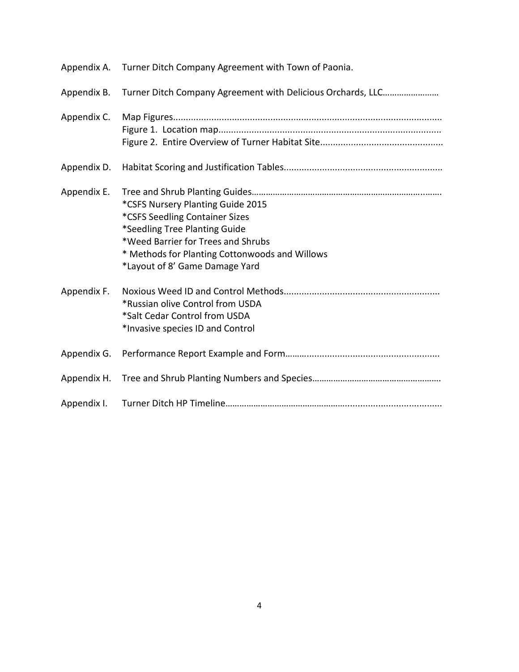| Appendix A. | Turner Ditch Company Agreement with Town of Paonia.                                                                                                                                                                            |
|-------------|--------------------------------------------------------------------------------------------------------------------------------------------------------------------------------------------------------------------------------|
| Appendix B. | Turner Ditch Company Agreement with Delicious Orchards, LLC                                                                                                                                                                    |
| Appendix C. |                                                                                                                                                                                                                                |
| Appendix D. |                                                                                                                                                                                                                                |
| Appendix E. | *CSFS Nursery Planting Guide 2015<br>*CSFS Seedling Container Sizes<br>*Seedling Tree Planting Guide<br>*Weed Barrier for Trees and Shrubs<br>* Methods for Planting Cottonwoods and Willows<br>*Layout of 8' Game Damage Yard |
| Appendix F. | *Russian olive Control from USDA<br>*Salt Cedar Control from USDA<br>*Invasive species ID and Control                                                                                                                          |
| Appendix G. |                                                                                                                                                                                                                                |
| Appendix H. |                                                                                                                                                                                                                                |
| Appendix I. |                                                                                                                                                                                                                                |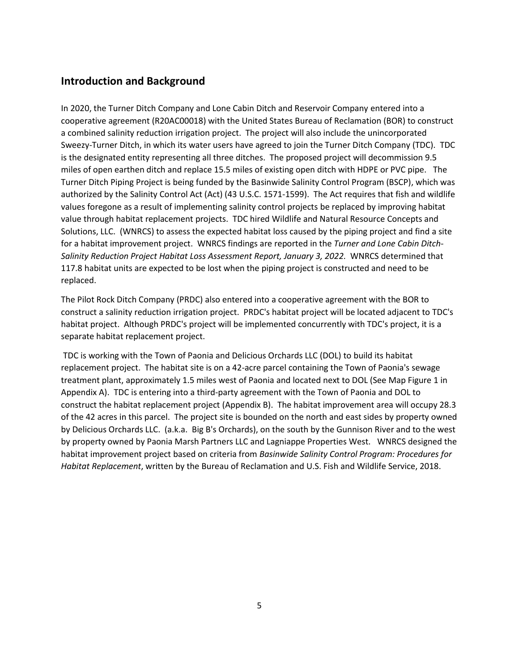### **Introduction and Background**

In 2020, the Turner Ditch Company and Lone Cabin Ditch and Reservoir Company entered into a cooperative agreement (R20AC00018) with the United States Bureau of Reclamation (BOR) to construct a combined salinity reduction irrigation project. The project will also include the unincorporated Sweezy-Turner Ditch, in which its water users have agreed to join the Turner Ditch Company (TDC). TDC is the designated entity representing all three ditches. The proposed project will decommission 9.5 miles of open earthen ditch and replace 15.5 miles of existing open ditch with HDPE or PVC pipe. The Turner Ditch Piping Project is being funded by the Basinwide Salinity Control Program (BSCP), which was authorized by the Salinity Control Act (Act) (43 U.S.C. 1571-1599). The Act requires that fish and wildlife values foregone as a result of implementing salinity control projects be replaced by improving habitat value through habitat replacement projects. TDC hired Wildlife and Natural Resource Concepts and Solutions, LLC. (WNRCS) to assess the expected habitat loss caused by the piping project and find a site for a habitat improvement project. WNRCS findings are reported in the *Turner and Lone Cabin Ditch-Salinity Reduction Project Habitat Loss Assessment Report, January 3, 2022.* WNRCS determined that 117.8 habitat units are expected to be lost when the piping project is constructed and need to be replaced.

The Pilot Rock Ditch Company (PRDC) also entered into a cooperative agreement with the BOR to construct a salinity reduction irrigation project. PRDC's habitat project will be located adjacent to TDC's habitat project. Although PRDC's project will be implemented concurrently with TDC's project, it is a separate habitat replacement project.

TDC is working with the Town of Paonia and Delicious Orchards LLC (DOL) to build its habitat replacement project. The habitat site is on a 42-acre parcel containing the Town of Paonia's sewage treatment plant, approximately 1.5 miles west of Paonia and located next to DOL (See Map Figure 1 in Appendix A). TDC is entering into a third-party agreement with the Town of Paonia and DOL to construct the habitat replacement project (Appendix B). The habitat improvement area will occupy 28.3 of the 42 acres in this parcel. The project site is bounded on the north and east sides by property owned by Delicious Orchards LLC. (a.k.a. Big B's Orchards), on the south by the Gunnison River and to the west by property owned by Paonia Marsh Partners LLC and Lagniappe Properties West. WNRCS designed the habitat improvement project based on criteria from *Basinwide Salinity Control Program: Procedures for Habitat Replacement*, written by the Bureau of Reclamation and U.S. Fish and Wildlife Service, 2018.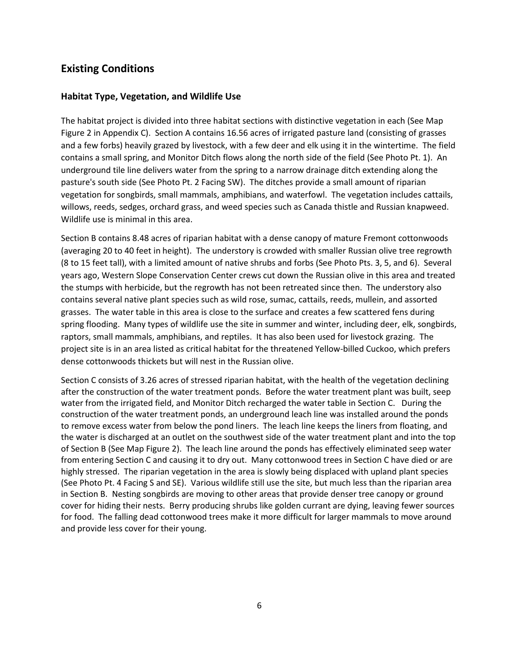### **Existing Conditions**

### **Habitat Type, Vegetation, and Wildlife Use**

The habitat project is divided into three habitat sections with distinctive vegetation in each (See Map Figure 2 in Appendix C). Section A contains 16.56 acres of irrigated pasture land (consisting of grasses and a few forbs) heavily grazed by livestock, with a few deer and elk using it in the wintertime. The field contains a small spring, and Monitor Ditch flows along the north side of the field (See Photo Pt. 1). An underground tile line delivers water from the spring to a narrow drainage ditch extending along the pasture's south side (See Photo Pt. 2 Facing SW). The ditches provide a small amount of riparian vegetation for songbirds, small mammals, amphibians, and waterfowl. The vegetation includes cattails, willows, reeds, sedges, orchard grass, and weed species such as Canada thistle and Russian knapweed. Wildlife use is minimal in this area.

Section B contains 8.48 acres of riparian habitat with a dense canopy of mature Fremont cottonwoods (averaging 20 to 40 feet in height). The understory is crowded with smaller Russian olive tree regrowth (8 to 15 feet tall), with a limited amount of native shrubs and forbs (See Photo Pts. 3, 5, and 6). Several years ago, Western Slope Conservation Center crews cut down the Russian olive in this area and treated the stumps with herbicide, but the regrowth has not been retreated since then. The understory also contains several native plant species such as wild rose, sumac, cattails, reeds, mullein, and assorted grasses. The water table in this area is close to the surface and creates a few scattered fens during spring flooding. Many types of wildlife use the site in summer and winter, including deer, elk, songbirds, raptors, small mammals, amphibians, and reptiles. It has also been used for livestock grazing. The project site is in an area listed as critical habitat for the threatened Yellow-billed Cuckoo, which prefers dense cottonwoods thickets but will nest in the Russian olive.

Section C consists of 3.26 acres of stressed riparian habitat, with the health of the vegetation declining after the construction of the water treatment ponds. Before the water treatment plant was built, seep water from the irrigated field, and Monitor Ditch recharged the water table in Section C. During the construction of the water treatment ponds, an underground leach line was installed around the ponds to remove excess water from below the pond liners. The leach line keeps the liners from floating, and the water is discharged at an outlet on the southwest side of the water treatment plant and into the top of Section B (See Map Figure 2). The leach line around the ponds has effectively eliminated seep water from entering Section C and causing it to dry out. Many cottonwood trees in Section C have died or are highly stressed. The riparian vegetation in the area is slowly being displaced with upland plant species (See Photo Pt. 4 Facing S and SE). Various wildlife still use the site, but much less than the riparian area in Section B. Nesting songbirds are moving to other areas that provide denser tree canopy or ground cover for hiding their nests. Berry producing shrubs like golden currant are dying, leaving fewer sources for food. The falling dead cottonwood trees make it more difficult for larger mammals to move around and provide less cover for their young.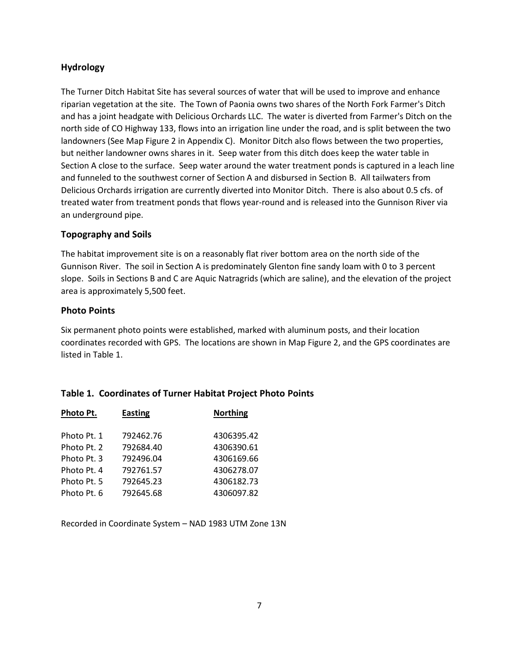### **Hydrology**

The Turner Ditch Habitat Site has several sources of water that will be used to improve and enhance riparian vegetation at the site. The Town of Paonia owns two shares of the North Fork Farmer's Ditch and has a joint headgate with Delicious Orchards LLC. The water is diverted from Farmer's Ditch on the north side of CO Highway 133, flows into an irrigation line under the road, and is split between the two landowners (See Map Figure 2 in Appendix C). Monitor Ditch also flows between the two properties, but neither landowner owns shares in it. Seep water from this ditch does keep the water table in Section A close to the surface. Seep water around the water treatment ponds is captured in a leach line and funneled to the southwest corner of Section A and disbursed in Section B. All tailwaters from Delicious Orchards irrigation are currently diverted into Monitor Ditch. There is also about 0.5 cfs. of treated water from treatment ponds that flows year-round and is released into the Gunnison River via an underground pipe.

### **Topography and Soils**

The habitat improvement site is on a reasonably flat river bottom area on the north side of the Gunnison River. The soil in Section A is predominately Glenton fine sandy loam with 0 to 3 percent slope. Soils in Sections B and C are Aquic Natragrids (which are saline), and the elevation of the project area is approximately 5,500 feet.

#### **Photo Points**

Six permanent photo points were established, marked with aluminum posts, and their location coordinates recorded with GPS. The locations are shown in Map Figure 2, and the GPS coordinates are listed in Table 1.

| Photo Pt.   | <b>Easting</b> | <b>Northing</b> |  |  |  |  |
|-------------|----------------|-----------------|--|--|--|--|
|             |                |                 |  |  |  |  |
| Photo Pt. 1 | 792462.76      | 4306395.42      |  |  |  |  |
| Photo Pt. 2 | 792684.40      | 4306390.61      |  |  |  |  |
| Photo Pt. 3 | 792496.04      | 4306169.66      |  |  |  |  |
| Photo Pt. 4 | 792761.57      | 4306278.07      |  |  |  |  |
| Photo Pt. 5 | 792645.23      | 4306182.73      |  |  |  |  |
| Photo Pt. 6 | 792645.68      | 4306097.82      |  |  |  |  |

### **Table 1. Coordinates of Turner Habitat Project Photo Points**

Recorded in Coordinate System – NAD 1983 UTM Zone 13N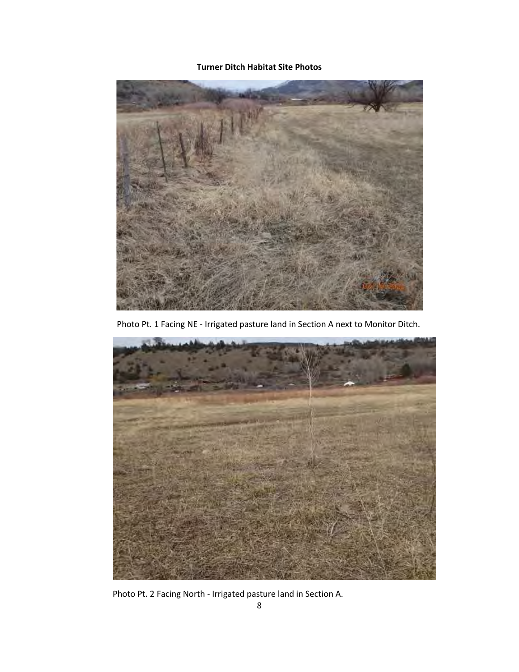### **Turner Ditch Habitat Site Photos**



Photo Pt. 1 Facing NE - Irrigated pasture land in Section A next to Monitor Ditch.



Photo Pt. 2 Facing North - Irrigated pasture land in Section A.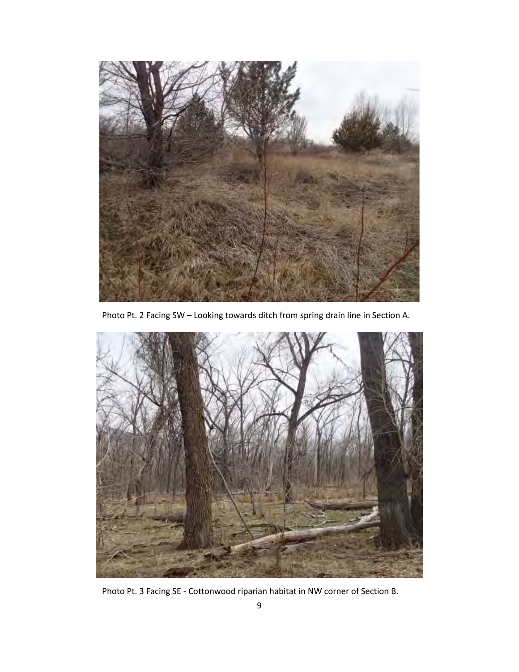

Photo Pt. 2 Facing SW – Looking towards ditch from spring drain line in Section A.



Photo Pt. 3 Facing SE - Cottonwood riparian habitat in NW corner of Section B.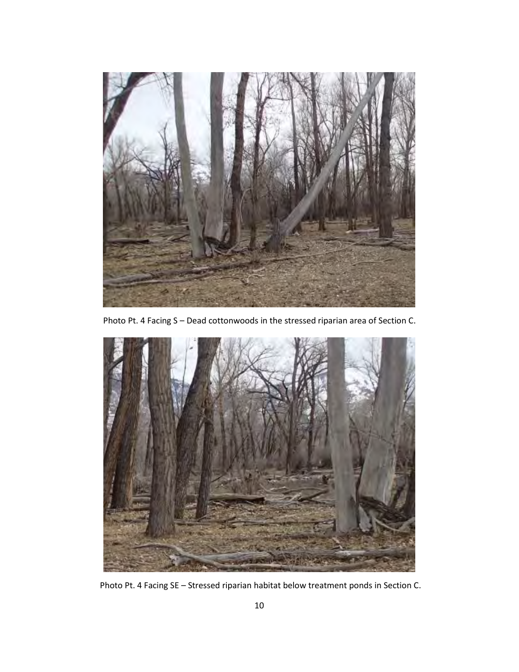

Photo Pt. 4 Facing S – Dead cottonwoods in the stressed riparian area of Section C.



Photo Pt. 4 Facing SE – Stressed riparian habitat below treatment ponds in Section C.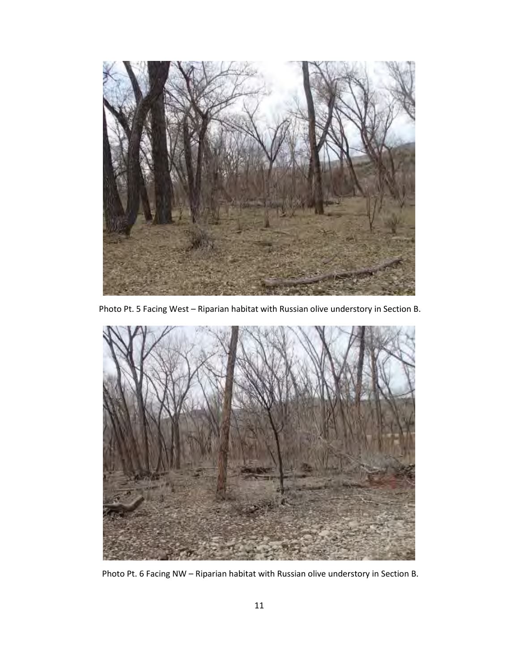

Photo Pt. 5 Facing West – Riparian habitat with Russian olive understory in Section B.



Photo Pt. 6 Facing NW – Riparian habitat with Russian olive understory in Section B.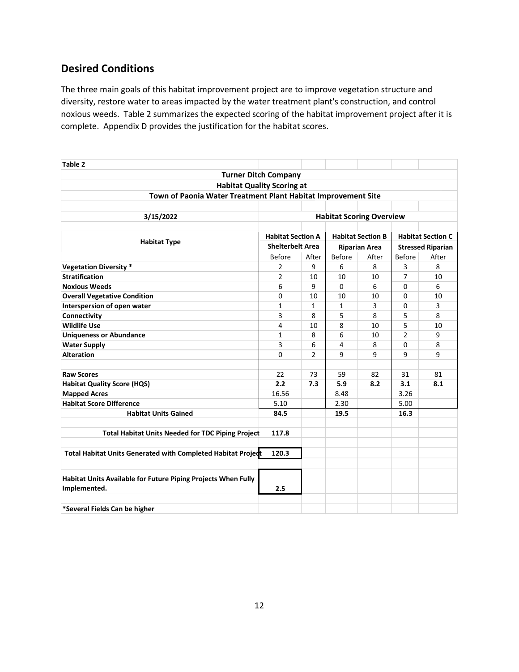## **Desired Conditions**

The three main goals of this habitat improvement project are to improve vegetation structure and diversity, restore water to areas impacted by the water treatment plant's construction, and control noxious weeds. Table 2 summarizes the expected scoring of the habitat improvement project after it is complete. Appendix D provides the justification for the habitat scores.

| Table 2                                                       |                          |                |                          |       |                          |       |  |
|---------------------------------------------------------------|--------------------------|----------------|--------------------------|-------|--------------------------|-------|--|
| <b>Turner Ditch Company</b>                                   |                          |                |                          |       |                          |       |  |
| <b>Habitat Quality Scoring at</b>                             |                          |                |                          |       |                          |       |  |
| Town of Paonia Water Treatment Plant Habitat Improvement Site |                          |                |                          |       |                          |       |  |
|                                                               |                          |                |                          |       |                          |       |  |
| 3/15/2022<br><b>Habitat Scoring Overview</b>                  |                          |                |                          |       |                          |       |  |
|                                                               |                          |                |                          |       |                          |       |  |
|                                                               | <b>Habitat Section A</b> |                | <b>Habitat Section B</b> |       | <b>Habitat Section C</b> |       |  |
| <b>Habitat Type</b>                                           | <b>Shelterbelt Area</b>  |                | <b>Riparian Area</b>     |       | <b>Stressed Riparian</b> |       |  |
|                                                               | <b>Before</b>            | After          | <b>Before</b>            | After | <b>Before</b>            | After |  |
| <b>Vegetation Diversity *</b>                                 | 2                        | 9              | 6                        | 8     | 3                        | 8     |  |
| <b>Stratification</b>                                         | 2                        | 10             | 10                       | 10    | $\overline{7}$           | 10    |  |
| <b>Noxious Weeds</b>                                          | 6                        | 9              | $\Omega$                 | 6     | 0                        | 6     |  |
| <b>Overall Vegetative Condition</b>                           | 0                        | 10             | 10                       | 10    | 0                        | 10    |  |
| Interspersion of open water                                   | 1                        | 1              | 1                        | 3     | 0                        | 3     |  |
| Connectivity                                                  | 3                        | 8              | 5                        | 8     | 5                        | 8     |  |
| <b>Wildlife Use</b>                                           | 4                        | 10             | 8                        | 10    | 5                        | 10    |  |
| <b>Uniqueness or Abundance</b>                                | $\mathbf{1}$             | 8              | 6                        | 10    | $\overline{2}$           | 9     |  |
| <b>Water Supply</b>                                           | 3                        | 6              | 4                        | 8     | $\Omega$                 | 8     |  |
| <b>Alteration</b>                                             | $\Omega$                 | $\overline{2}$ | 9                        | 9     | 9                        | 9     |  |
|                                                               |                          |                |                          |       |                          |       |  |
| <b>Raw Scores</b>                                             | 22                       | 73             | 59                       | 82    | 31                       | 81    |  |
| <b>Habitat Quality Score (HQS)</b>                            | 2.2                      | 7.3            | 5.9                      | 8.2   | 3.1                      | 8.1   |  |
| <b>Mapped Acres</b>                                           | 16.56                    |                | 8.48                     |       | 3.26                     |       |  |
| <b>Habitat Score Difference</b>                               | 5.10                     |                | 2.30                     |       | 5.00                     |       |  |
| <b>Habitat Units Gained</b>                                   | 84.5                     |                | 19.5                     |       | 16.3                     |       |  |
|                                                               |                          |                |                          |       |                          |       |  |
| <b>Total Habitat Units Needed for TDC Piping Project</b>      | 117.8                    |                |                          |       |                          |       |  |
|                                                               |                          |                |                          |       |                          |       |  |
| Total Habitat Units Generated with Completed Habitat Project  | 120.3                    |                |                          |       |                          |       |  |
|                                                               |                          |                |                          |       |                          |       |  |
| Habitat Units Available for Future Piping Projects When Fully |                          |                |                          |       |                          |       |  |
| Implemented.<br>2.5                                           |                          |                |                          |       |                          |       |  |
|                                                               |                          |                |                          |       |                          |       |  |
| *Several Fields Can be higher                                 |                          |                |                          |       |                          |       |  |
|                                                               |                          |                |                          |       |                          |       |  |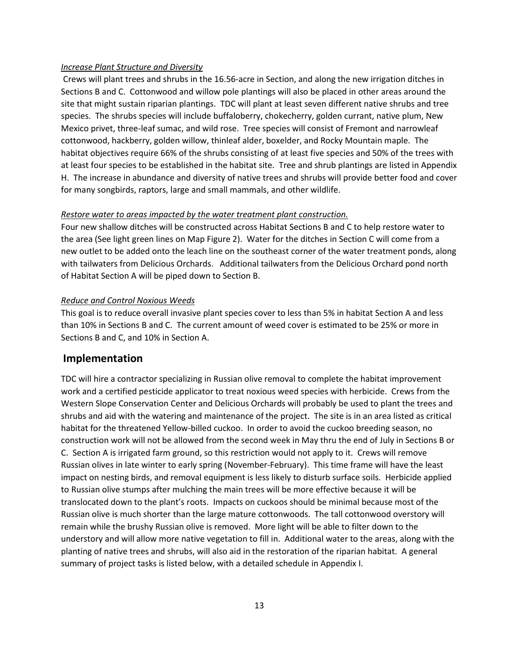#### *Increase Plant Structure and Diversity*

Crews will plant trees and shrubs in the 16.56-acre in Section, and along the new irrigation ditches in Sections B and C. Cottonwood and willow pole plantings will also be placed in other areas around the site that might sustain riparian plantings. TDC will plant at least seven different native shrubs and tree species. The shrubs species will include buffaloberry, chokecherry, golden currant, native plum, New Mexico privet, three-leaf sumac, and wild rose. Tree species will consist of Fremont and narrowleaf cottonwood, hackberry, golden willow, thinleaf alder, boxelder, and Rocky Mountain maple. The habitat objectives require 66% of the shrubs consisting of at least five species and 50% of the trees with at least four species to be established in the habitat site. Tree and shrub plantings are listed in Appendix H. The increase in abundance and diversity of native trees and shrubs will provide better food and cover for many songbirds, raptors, large and small mammals, and other wildlife.

#### *Restore water to areas impacted by the water treatment plant construction.*

Four new shallow ditches will be constructed across Habitat Sections B and C to help restore water to the area (See light green lines on Map Figure 2). Water for the ditches in Section C will come from a new outlet to be added onto the leach line on the southeast corner of the water treatment ponds, along with tailwaters from Delicious Orchards. Additional tailwaters from the Delicious Orchard pond north of Habitat Section A will be piped down to Section B.

#### *Reduce and Control Noxious Weeds*

This goal is to reduce overall invasive plant species cover to less than 5% in habitat Section A and less than 10% in Sections B and C. The current amount of weed cover is estimated to be 25% or more in Sections B and C, and 10% in Section A.

#### **Implementation**

TDC will hire a contractor specializing in Russian olive removal to complete the habitat improvement work and a certified pesticide applicator to treat noxious weed species with herbicide. Crews from the Western Slope Conservation Center and Delicious Orchards will probably be used to plant the trees and shrubs and aid with the watering and maintenance of the project. The site is in an area listed as critical habitat for the threatened Yellow-billed cuckoo. In order to avoid the cuckoo breeding season, no construction work will not be allowed from the second week in May thru the end of July in Sections B or C. Section A is irrigated farm ground, so this restriction would not apply to it. Crews will remove Russian olives in late winter to early spring (November-February). This time frame will have the least impact on nesting birds, and removal equipment is less likely to disturb surface soils. Herbicide applied to Russian olive stumps after mulching the main trees will be more effective because it will be translocated down to the plant's roots. Impacts on cuckoos should be minimal because most of the Russian olive is much shorter than the large mature cottonwoods. The tall cottonwood overstory will remain while the brushy Russian olive is removed. More light will be able to filter down to the understory and will allow more native vegetation to fill in. Additional water to the areas, along with the planting of native trees and shrubs, will also aid in the restoration of the riparian habitat. A general summary of project tasks is listed below, with a detailed schedule in Appendix I.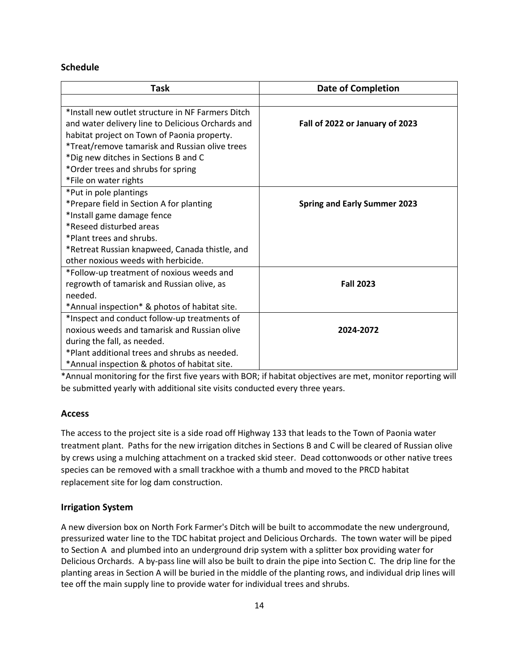#### **Schedule**

| <b>Task</b>                                       | <b>Date of Completion</b>           |  |  |
|---------------------------------------------------|-------------------------------------|--|--|
|                                                   |                                     |  |  |
| *Install new outlet structure in NF Farmers Ditch |                                     |  |  |
| and water delivery line to Delicious Orchards and | Fall of 2022 or January of 2023     |  |  |
| habitat project on Town of Paonia property.       |                                     |  |  |
| *Treat/remove tamarisk and Russian olive trees    |                                     |  |  |
| *Dig new ditches in Sections B and C              |                                     |  |  |
| *Order trees and shrubs for spring                |                                     |  |  |
| *File on water rights                             |                                     |  |  |
| *Put in pole plantings                            |                                     |  |  |
| *Prepare field in Section A for planting          | <b>Spring and Early Summer 2023</b> |  |  |
| *Install game damage fence                        |                                     |  |  |
| *Reseed disturbed areas                           |                                     |  |  |
| *Plant trees and shrubs.                          |                                     |  |  |
| *Retreat Russian knapweed, Canada thistle, and    |                                     |  |  |
| other noxious weeds with herbicide.               |                                     |  |  |
| *Follow-up treatment of noxious weeds and         |                                     |  |  |
| regrowth of tamarisk and Russian olive, as        | <b>Fall 2023</b>                    |  |  |
| needed.                                           |                                     |  |  |
| *Annual inspection* & photos of habitat site.     |                                     |  |  |
| *Inspect and conduct follow-up treatments of      |                                     |  |  |
| noxious weeds and tamarisk and Russian olive      | 2024-2072                           |  |  |
| during the fall, as needed.                       |                                     |  |  |
| *Plant additional trees and shrubs as needed.     |                                     |  |  |
| *Annual inspection & photos of habitat site.      |                                     |  |  |

\*Annual monitoring for the first five years with BOR; if habitat objectives are met, monitor reporting will be submitted yearly with additional site visits conducted every three years.

### **Access**

The access to the project site is a side road off Highway 133 that leads to the Town of Paonia water treatment plant. Paths for the new irrigation ditches in Sections B and C will be cleared of Russian olive by crews using a mulching attachment on a tracked skid steer. Dead cottonwoods or other native trees species can be removed with a small trackhoe with a thumb and moved to the PRCD habitat replacement site for log dam construction.

#### **Irrigation System**

A new diversion box on North Fork Farmer's Ditch will be built to accommodate the new underground, pressurized water line to the TDC habitat project and Delicious Orchards. The town water will be piped to Section A and plumbed into an underground drip system with a splitter box providing water for Delicious Orchards. A by-pass line will also be built to drain the pipe into Section C. The drip line for the planting areas in Section A will be buried in the middle of the planting rows, and individual drip lines will tee off the main supply line to provide water for individual trees and shrubs.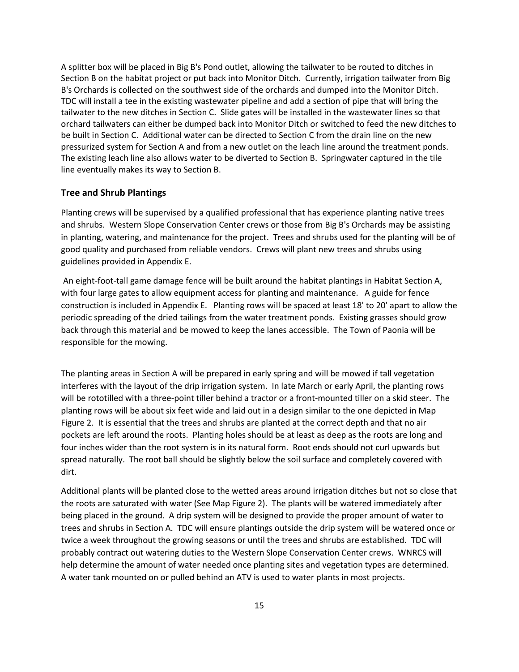A splitter box will be placed in Big B's Pond outlet, allowing the tailwater to be routed to ditches in Section B on the habitat project or put back into Monitor Ditch. Currently, irrigation tailwater from Big B's Orchards is collected on the southwest side of the orchards and dumped into the Monitor Ditch. TDC will install a tee in the existing wastewater pipeline and add a section of pipe that will bring the tailwater to the new ditches in Section C. Slide gates will be installed in the wastewater lines so that orchard tailwaters can either be dumped back into Monitor Ditch or switched to feed the new ditches to be built in Section C. Additional water can be directed to Section C from the drain line on the new pressurized system for Section A and from a new outlet on the leach line around the treatment ponds. The existing leach line also allows water to be diverted to Section B. Springwater captured in the tile line eventually makes its way to Section B.

#### **Tree and Shrub Plantings**

Planting crews will be supervised by a qualified professional that has experience planting native trees and shrubs. Western Slope Conservation Center crews or those from Big B's Orchards may be assisting in planting, watering, and maintenance for the project. Trees and shrubs used for the planting will be of good quality and purchased from reliable vendors. Crews will plant new trees and shrubs using guidelines provided in Appendix E.

An eight-foot-tall game damage fence will be built around the habitat plantings in Habitat Section A, with four large gates to allow equipment access for planting and maintenance. A guide for fence construction is included in Appendix E. Planting rows will be spaced at least 18' to 20' apart to allow the periodic spreading of the dried tailings from the water treatment ponds. Existing grasses should grow back through this material and be mowed to keep the lanes accessible. The Town of Paonia will be responsible for the mowing.

The planting areas in Section A will be prepared in early spring and will be mowed if tall vegetation interferes with the layout of the drip irrigation system. In late March or early April, the planting rows will be rototilled with a three-point tiller behind a tractor or a front-mounted tiller on a skid steer. The planting rows will be about six feet wide and laid out in a design similar to the one depicted in Map Figure 2. It is essential that the trees and shrubs are planted at the correct depth and that no air pockets are left around the roots. Planting holes should be at least as deep as the roots are long and four inches wider than the root system is in its natural form. Root ends should not curl upwards but spread naturally. The root ball should be slightly below the soil surface and completely covered with dirt.

Additional plants will be planted close to the wetted areas around irrigation ditches but not so close that the roots are saturated with water (See Map Figure 2). The plants will be watered immediately after being placed in the ground. A drip system will be designed to provide the proper amount of water to trees and shrubs in Section A. TDC will ensure plantings outside the drip system will be watered once or twice a week throughout the growing seasons or until the trees and shrubs are established. TDC will probably contract out watering duties to the Western Slope Conservation Center crews. WNRCS will help determine the amount of water needed once planting sites and vegetation types are determined. A water tank mounted on or pulled behind an ATV is used to water plants in most projects.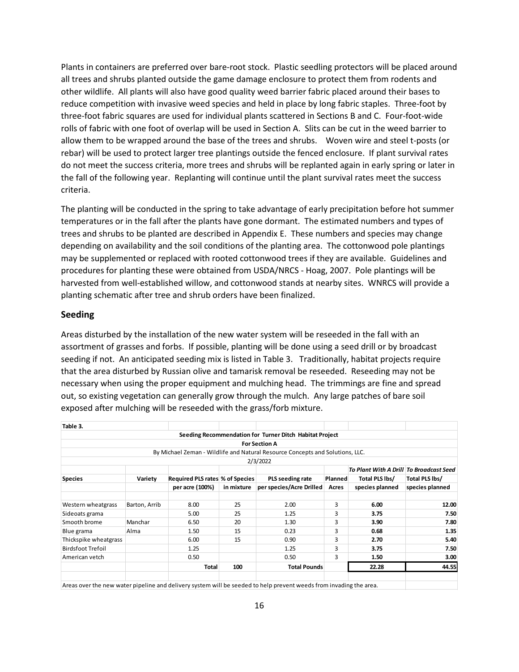Plants in containers are preferred over bare-root stock. Plastic seedling protectors will be placed around all trees and shrubs planted outside the game damage enclosure to protect them from rodents and other wildlife. All plants will also have good quality weed barrier fabric placed around their bases to reduce competition with invasive weed species and held in place by long fabric staples. Three-foot by three-foot fabric squares are used for individual plants scattered in Sections B and C. Four-foot-wide rolls of fabric with one foot of overlap will be used in Section A. Slits can be cut in the weed barrier to allow them to be wrapped around the base of the trees and shrubs. Woven wire and steel t-posts (or rebar) will be used to protect larger tree plantings outside the fenced enclosure. If plant survival rates do not meet the success criteria, more trees and shrubs will be replanted again in early spring or later in the fall of the following year. Replanting will continue until the plant survival rates meet the success criteria.

The planting will be conducted in the spring to take advantage of early precipitation before hot summer temperatures or in the fall after the plants have gone dormant. The estimated numbers and types of trees and shrubs to be planted are described in Appendix E. These numbers and species may change depending on availability and the soil conditions of the planting area. The cottonwood pole plantings may be supplemented or replaced with rooted cottonwood trees if they are available. Guidelines and procedures for planting these were obtained from USDA/NRCS - Hoag, 2007. Pole plantings will be harvested from well-established willow, and cottonwood stands at nearby sites. WNRCS will provide a planting schematic after tree and shrub orders have been finalized.

#### **Seeding**

Areas disturbed by the installation of the new water system will be reseeded in the fall with an assortment of grasses and forbs. If possible, planting will be done using a seed drill or by broadcast seeding if not. An anticipated seeding mix is listed in Table 3. Traditionally, habitat projects require that the area disturbed by Russian olive and tamarisk removal be reseeded. Reseeding may not be necessary when using the proper equipment and mulching head. The trimmings are fine and spread out, so existing vegetation can generally grow through the mulch. Any large patches of bare soil exposed after mulching will be reseeded with the grass/forb mixture.

| Table 3.                 |               |                                 |            |                                                                               |                |                                         |                 |
|--------------------------|---------------|---------------------------------|------------|-------------------------------------------------------------------------------|----------------|-----------------------------------------|-----------------|
|                          |               |                                 |            | Seeding Recommendation for Turner Ditch Habitat Project                       |                |                                         |                 |
|                          |               |                                 |            | <b>For Section A</b>                                                          |                |                                         |                 |
|                          |               |                                 |            | By Michael Zeman - Wildlife and Natural Resource Concepts and Solutions, LLC. |                |                                         |                 |
|                          |               |                                 |            | 2/3/2022                                                                      |                |                                         |                 |
|                          |               |                                 |            |                                                                               |                | To Plant With A Drill To Broadcast Seed |                 |
| <b>Species</b>           | Variety       | Required PLS rates % of Species |            | PLS seeding rate                                                              | <b>Planned</b> | Total PLS lbs/                          | Total PLS lbs/  |
|                          |               | per acre (100%)                 | in mixture | per species/Acre Drilled                                                      | Acres          | species planned                         | species planned |
|                          |               |                                 |            |                                                                               |                |                                         |                 |
| Western wheatgrass       | Barton, Arrib | 8.00                            | 25         | 2.00                                                                          | 3              | 6.00                                    | 12.00           |
| Sideoats grama           |               | 5.00                            | 25         | 1.25                                                                          | 3              | 3.75                                    | 7.50            |
| Smooth brome             | Manchar       | 6.50                            | 20         | 1.30                                                                          | 3              | 3.90                                    | 7.80            |
| Blue grama               | Alma          | 1.50                            | 15         | 0.23                                                                          | 3              | 0.68                                    | 1.35            |
| Thickspike wheatgrass    |               | 6.00                            | 15         | 0.90                                                                          | 3              | 2.70                                    | 5.40            |
| <b>Birdsfoot Trefoil</b> |               | 1.25                            |            | 1.25                                                                          | 3              | 3.75                                    | 7.50            |
| American vetch           |               | 0.50                            |            | 0.50                                                                          | 3              | 1.50                                    | 3.00            |
|                          |               | <b>Total</b>                    | 100        | <b>Total Pounds</b>                                                           |                | 22.28                                   | 44.55           |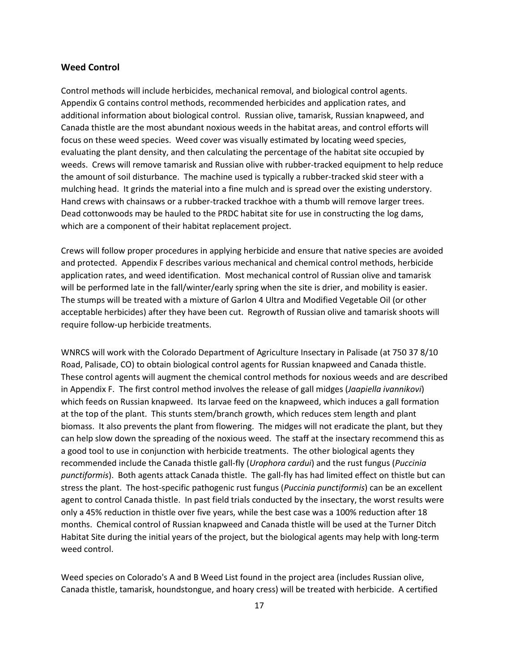#### **Weed Control**

Control methods will include herbicides, mechanical removal, and biological control agents. Appendix G contains control methods, recommended herbicides and application rates, and additional information about biological control. Russian olive, tamarisk, Russian knapweed, and Canada thistle are the most abundant noxious weeds in the habitat areas, and control efforts will focus on these weed species. Weed cover was visually estimated by locating weed species, evaluating the plant density, and then calculating the percentage of the habitat site occupied by weeds. Crews will remove tamarisk and Russian olive with rubber-tracked equipment to help reduce the amount of soil disturbance. The machine used is typically a rubber-tracked skid steer with a mulching head. It grinds the material into a fine mulch and is spread over the existing understory. Hand crews with chainsaws or a rubber-tracked trackhoe with a thumb will remove larger trees. Dead cottonwoods may be hauled to the PRDC habitat site for use in constructing the log dams, which are a component of their habitat replacement project.

Crews will follow proper procedures in applying herbicide and ensure that native species are avoided and protected. Appendix F describes various mechanical and chemical control methods, herbicide application rates, and weed identification. Most mechanical control of Russian olive and tamarisk will be performed late in the fall/winter/early spring when the site is drier, and mobility is easier. The stumps will be treated with a mixture of Garlon 4 Ultra and Modified Vegetable Oil (or other acceptable herbicides) after they have been cut. Regrowth of Russian olive and tamarisk shoots will require follow-up herbicide treatments.

WNRCS will work with the Colorado Department of Agriculture Insectary in Palisade (at 750 37 8/10 Road, Palisade, CO) to obtain biological control agents for Russian knapweed and Canada thistle. These control agents will augment the chemical control methods for noxious weeds and are described in Appendix F. The first control method involves the release of gall midges (*Jaapiella ivannikovi*) which feeds on Russian knapweed. Its larvae feed on the knapweed, which induces a gall formation at the top of the plant. This stunts stem/branch growth, which reduces stem length and plant biomass. It also prevents the plant from flowering. The midges will not eradicate the plant, but they can help slow down the spreading of the noxious weed. The staff at the insectary recommend this as a good tool to use in conjunction with herbicide treatments. The other biological agents they recommended include the Canada thistle gall-fly (*Urophora cardui*) and the rust fungus (*Puccinia punctiformis*). Both agents attack Canada thistle. The gall-fly has had limited effect on thistle but can stress the plant. The host-specific pathogenic rust fungus (*Puccinia punctiformis*) can be an excellent agent to control Canada thistle. In past field trials conducted by the insectary, the worst results were only a 45% reduction in thistle over five years, while the best case was a 100% reduction after 18 months. Chemical control of Russian knapweed and Canada thistle will be used at the Turner Ditch Habitat Site during the initial years of the project, but the biological agents may help with long-term weed control.

Weed species on Colorado's A and B Weed List found in the project area (includes Russian olive, Canada thistle, tamarisk, houndstongue, and hoary cress) will be treated with herbicide. A certified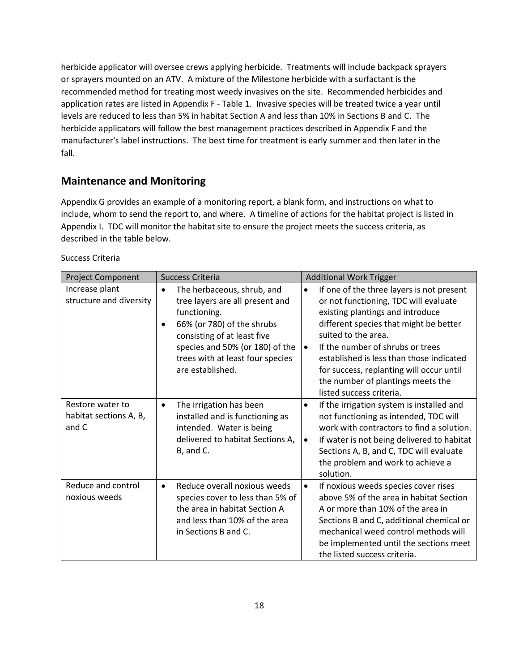herbicide applicator will oversee crews applying herbicide. Treatments will include backpack sprayers or sprayers mounted on an ATV. A mixture of the Milestone herbicide with a surfactant is the recommended method for treating most weedy invasives on the site. Recommended herbicides and application rates are listed in Appendix F - Table 1. Invasive species will be treated twice a year until levels are reduced to less than 5% in habitat Section A and less than 10% in Sections B and C. The herbicide applicators will follow the best management practices described in Appendix F and the manufacturer's label instructions. The best time for treatment is early summer and then later in the fall.

### **Maintenance and Monitoring**

Appendix G provides an example of a monitoring report, a blank form, and instructions on what to include, whom to send the report to, and where. A timeline of actions for the habitat project is listed in Appendix I. TDC will monitor the habitat site to ensure the project meets the success criteria, as described in the table below.

| <b>Project Component</b>                            | <b>Success Criteria</b>                                                                                                                                                                                                                                         | <b>Additional Work Trigger</b>                                                                                                                                                                                                                                                                                                                                                                                 |
|-----------------------------------------------------|-----------------------------------------------------------------------------------------------------------------------------------------------------------------------------------------------------------------------------------------------------------------|----------------------------------------------------------------------------------------------------------------------------------------------------------------------------------------------------------------------------------------------------------------------------------------------------------------------------------------------------------------------------------------------------------------|
| Increase plant<br>structure and diversity           | The herbaceous, shrub, and<br>$\bullet$<br>tree layers are all present and<br>functioning.<br>66% (or 780) of the shrubs<br>$\bullet$<br>consisting of at least five<br>species and 50% (or 180) of the<br>trees with at least four species<br>are established. | If one of the three layers is not present<br>$\bullet$<br>or not functioning, TDC will evaluate<br>existing plantings and introduce<br>different species that might be better<br>suited to the area.<br>If the number of shrubs or trees<br>$\bullet$<br>established is less than those indicated<br>for success, replanting will occur until<br>the number of plantings meets the<br>listed success criteria. |
| Restore water to<br>habitat sections A, B,<br>and C | The irrigation has been<br>$\bullet$<br>installed and is functioning as<br>intended. Water is being<br>delivered to habitat Sections A,<br>B, and C.                                                                                                            | If the irrigation system is installed and<br>$\bullet$<br>not functioning as intended, TDC will<br>work with contractors to find a solution.<br>If water is not being delivered to habitat<br>$\bullet$<br>Sections A, B, and C, TDC will evaluate<br>the problem and work to achieve a<br>solution.                                                                                                           |
| Reduce and control<br>noxious weeds                 | Reduce overall noxious weeds<br>$\bullet$<br>species cover to less than 5% of<br>the area in habitat Section A<br>and less than 10% of the area<br>in Sections B and C.                                                                                         | If noxious weeds species cover rises<br>$\bullet$<br>above 5% of the area in habitat Section<br>A or more than 10% of the area in<br>Sections B and C, additional chemical or<br>mechanical weed control methods will<br>be implemented until the sections meet<br>the listed success criteria.                                                                                                                |